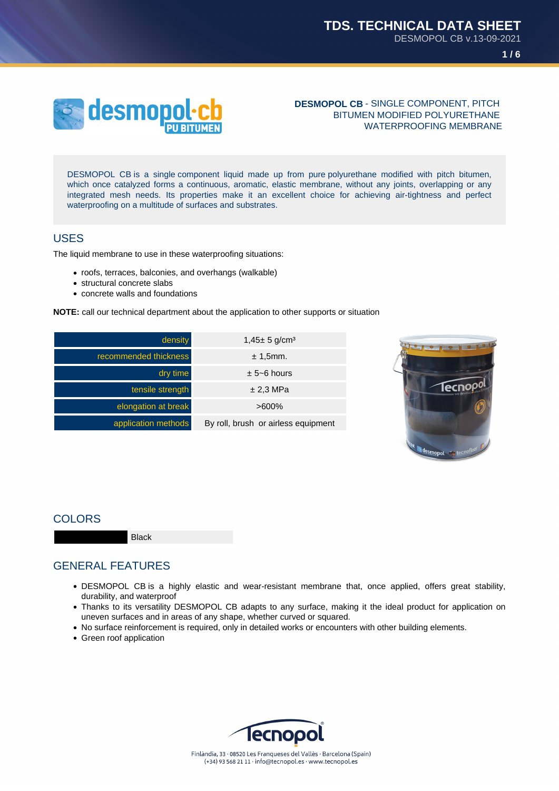**1 / 6**



**DESMOPOL CB** - SINGLE COMPONENT, PITCH BITUMEN MODIFIED POLYURETHANE WATERPROOFING MEMBRANE

DESMOPOL CB is a single component liquid made up from pure polyurethane modified with pitch bitumen, which once catalyzed forms a continuous, aromatic, elastic membrane, without any joints, overlapping or any integrated mesh needs. Its properties make it an excellent choice for achieving air-tightness and perfect waterproofing on a multitude of surfaces and substrates.

### USES

The liquid membrane to use in these waterproofing situations:

- roofs, terraces, balconies, and overhangs (walkable)
- structural concrete slabs
- concrete walls and foundations

**NOTE:** call our technical department about the application to other supports or situation





## **COLORS**

Black

## GENERAL FEATURES

- DESMOPOL CB is a highly elastic and wear-resistant membrane that, once applied, offers great stability, durability, and waterproof
- Thanks to its versatility DESMOPOL CB adapts to any surface, making it the ideal product for application on uneven surfaces and in areas of any shape, whether curved or squared.
- No surface reinforcement is required, only in detailed works or encounters with other building elements.
- Green roof application

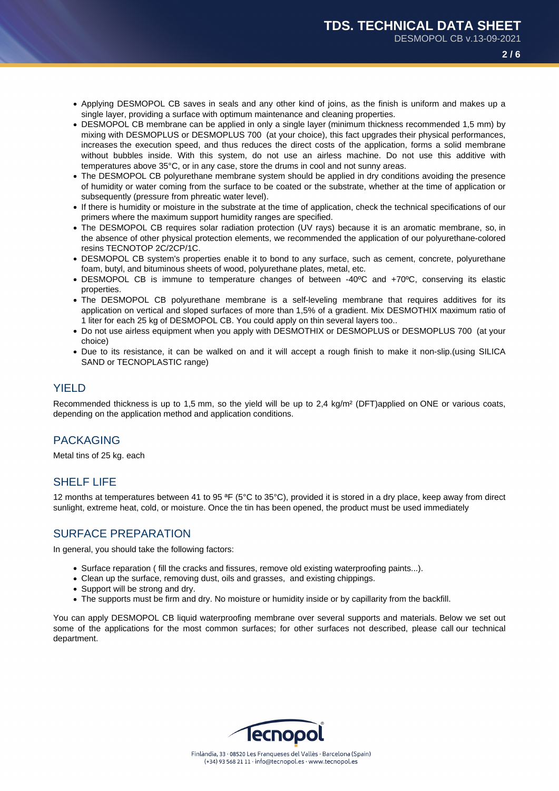**2 / 6**

- Applying DESMOPOL CB saves in seals and any other kind of joins, as the finish is uniform and makes up a single layer, providing a surface with optimum maintenance and cleaning properties.
- DESMOPOL CB membrane can be applied in only a single layer (minimum thickness recommended 1,5 mm) by mixing with DESMOPLUS or DESMOPLUS 700 (at your choice), this fact upgrades their physical performances, increases the execution speed, and thus reduces the direct costs of the application, forms a solid membrane without bubbles inside. With this system, do not use an airless machine. Do not use this additive with temperatures above 35°C, or in any case, store the drums in cool and not sunny areas.
- The DESMOPOL CB polyurethane membrane system should be applied in dry conditions avoiding the presence of humidity or water coming from the surface to be coated or the substrate, whether at the time of application or subsequently (pressure from phreatic water level).
- If there is humidity or moisture in the substrate at the time of application, check the technical specifications of our primers where the maximum support humidity ranges are specified.
- The DESMOPOL CB requires solar radiation protection (UV rays) because it is an aromatic membrane, so, in the absence of other physical protection elements, we recommended the application of our polyurethane-colored resins TECNOTOP 2C/2CP/1C.
- DESMOPOL CB system's properties enable it to bond to any surface, such as cement, concrete, polyurethane foam, butyl, and bituminous sheets of wood, polyurethane plates, metal, etc.
- DESMOPOL CB is immune to temperature changes of between -40ºC and +70ºC, conserving its elastic properties.
- The DESMOPOL CB polyurethane membrane is a self-leveling membrane that requires additives for its application on vertical and sloped surfaces of more than 1,5% of a gradient. Mix DESMOTHIX maximum ratio of 1 liter for each 25 kg of DESMOPOL CB. You could apply on thin several layers too..
- Do not use airless equipment when you apply with DESMOTHIX or DESMOPLUS or DESMOPLUS 700 (at your choice)
- Due to its resistance, it can be walked on and it will accept a rough finish to make it non-slip.(using SILICA SAND or TECNOPLASTIC range)

## YIELD

Recommended thickness is up to 1,5 mm, so the yield will be up to 2,4 kg/m² (DFT)applied on ONE or various coats, depending on the application method and application conditions.

# PACKAGING

Metal tins of 25 kg. each

## SHELF LIFE

12 months at temperatures between 41 to 95 ªF (5°C to 35°C), provided it is stored in a dry place, keep away from direct sunlight, extreme heat, cold, or moisture. Once the tin has been opened, the product must be used immediately

## SURFACE PREPARATION

In general, you should take the following factors:

- Surface reparation ( fill the cracks and fissures, remove old existing waterproofing paints...).
- Clean up the surface, removing dust, oils and grasses, and existing chippings.
- Support will be strong and dry.
- The supports must be firm and dry. No moisture or humidity inside or by capillarity from the backfill.

You can apply DESMOPOL CB liquid waterproofing membrane over several supports and materials. Below we set out some of the applications for the most common surfaces; for other surfaces not described, please call our technical department.

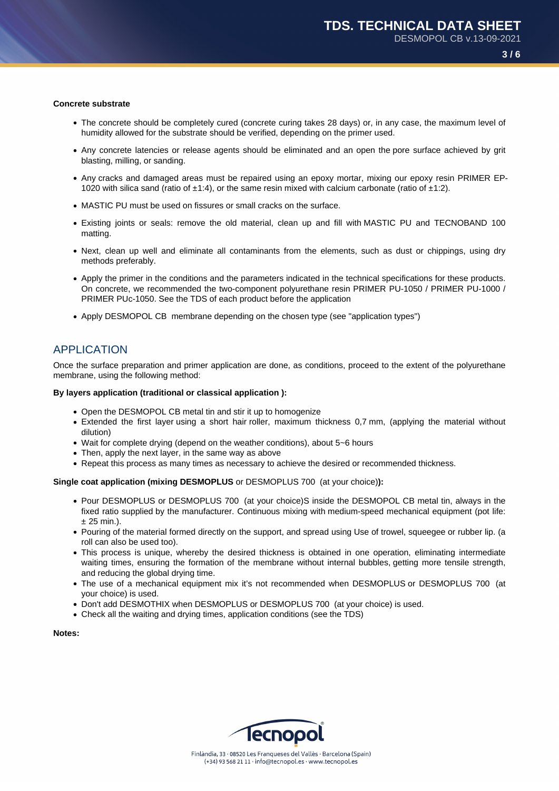#### **Concrete substrate**

- The concrete should be completely cured (concrete curing takes 28 days) or, in any case, the maximum level of humidity allowed for the substrate should be verified, depending on the primer used.
- Any concrete latencies or release agents should be eliminated and an open the pore surface achieved by grit blasting, milling, or sanding.
- Any cracks and damaged areas must be repaired using an epoxy mortar, mixing our epoxy resin PRIMER EP-1020 with silica sand (ratio of  $\pm$ 1:4), or the same resin mixed with calcium carbonate (ratio of  $\pm$ 1:2).
- MASTIC PU must be used on fissures or small cracks on the surface.
- Existing joints or seals: remove the old material, clean up and fill with MASTIC PU and TECNOBAND 100 matting.
- Next, clean up well and eliminate all contaminants from the elements, such as dust or chippings, using dry methods preferably.
- Apply the primer in the conditions and the parameters indicated in the technical specifications for these products. On concrete, we recommended the two-component polyurethane resin PRIMER PU-1050 / PRIMER PU-1000 / PRIMER PUc-1050. See the TDS of each product before the application
- Apply DESMOPOL CB membrane depending on the chosen type (see "application types")

### APPLICATION

Once the surface preparation and primer application are done, as conditions, proceed to the extent of the polyurethane membrane, using the following method:

#### **By layers application (traditional or classical application ):**

- Open the DESMOPOL CB metal tin and stir it up to homogenize
- Extended the first layer using a short hair roller, maximum thickness 0,7 mm, (applying the material without dilution)
- Wait for complete drying (depend on the weather conditions), about 5~6 hours
- Then, apply the next layer, in the same way as above
- Repeat this process as many times as necessary to achieve the desired or recommended thickness.

#### **Single coat application (mixing DESMOPLUS** or DESMOPLUS 700 (at your choice)**):**

- Pour DESMOPLUS or DESMOPLUS 700 (at your choice)S inside the DESMOPOL CB metal tin, always in the fixed ratio supplied by the manufacturer. Continuous mixing with medium-speed mechanical equipment (pot life:  $± 25$  min.).
- Pouring of the material formed directly on the support, and spread using Use of trowel, squeegee or rubber lip. (a roll can also be used too).
- This process is unique, whereby the desired thickness is obtained in one operation, eliminating intermediate waiting times, ensuring the formation of the membrane without internal bubbles, getting more tensile strength, and reducing the global drying time.
- The use of a mechanical equipment mix it's not recommended when DESMOPLUS or DESMOPLUS 700 (at your choice) is used.
- Don't add DESMOTHIX when DESMOPLUS or DESMOPLUS 700 (at your choice) is used.
- Check all the waiting and drying times, application conditions (see the TDS)

**Notes:**

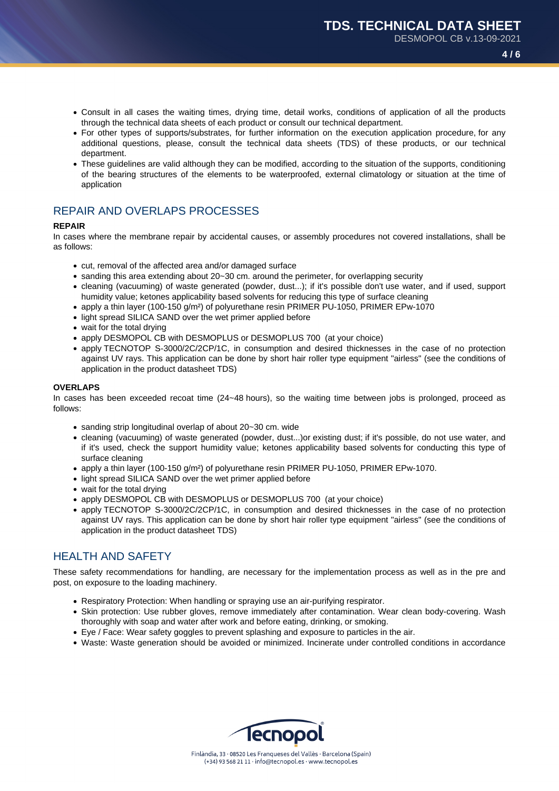- Consult in all cases the waiting times, drying time, detail works, conditions of application of all the products through the technical data sheets of each product or consult our technical department.
- For other types of supports/substrates, for further information on the execution application procedure, for any additional questions, please, consult the technical data sheets (TDS) of these products, or our technical department.
- These guidelines are valid although they can be modified, according to the situation of the supports, conditioning of the bearing structures of the elements to be waterproofed, external climatology or situation at the time of application

# REPAIR AND OVERLAPS PROCESSES

### **REPAIR**

In cases where the membrane repair by accidental causes, or assembly procedures not covered installations, shall be as follows:

- cut, removal of the affected area and/or damaged surface
- sanding this area extending about 20~30 cm. around the perimeter, for overlapping security
- cleaning (vacuuming) of waste generated (powder, dust...); if it's possible don't use water, and if used, support humidity value; ketones applicability based solvents for reducing this type of surface cleaning
- apply a thin layer (100-150 g/m²) of polyurethane resin PRIMER PU-1050, PRIMER EPw-1070
- light spread SILICA SAND over the wet primer applied before
- wait for the total drving
- apply DESMOPOL CB with DESMOPLUS or DESMOPLUS 700 (at your choice)
- apply TECNOTOP S-3000/2C/2CP/1C, in consumption and desired thicknesses in the case of no protection against UV rays. This application can be done by short hair roller type equipment "airless" (see the conditions of application in the product datasheet TDS)

### **OVERLAPS**

In cases has been exceeded recoat time (24~48 hours), so the waiting time between jobs is prolonged, proceed as follows:

- sanding strip longitudinal overlap of about 20~30 cm. wide
- cleaning (vacuuming) of waste generated (powder, dust...)or existing dust; if it's possible, do not use water, and if it's used, check the support humidity value; ketones applicability based solvents for conducting this type of surface cleaning
- apply a thin layer (100-150 g/m²) of polyurethane resin PRIMER PU-1050, PRIMER EPw-1070.
- light spread SILICA SAND over the wet primer applied before
- wait for the total drying
- apply DESMOPOL CB with DESMOPLUS or DESMOPLUS 700 (at your choice)
- apply TECNOTOP S-3000/2C/2CP/1C, in consumption and desired thicknesses in the case of no protection against UV rays. This application can be done by short hair roller type equipment "airless" (see the conditions of application in the product datasheet TDS)

## HEALTH AND SAFFTY

These safety recommendations for handling, are necessary for the implementation process as well as in the pre and post, on exposure to the loading machinery.

- Respiratory Protection: When handling or spraying use an air-purifying respirator.
- Skin protection: Use rubber gloves, remove immediately after contamination. Wear clean body-covering. Wash thoroughly with soap and water after work and before eating, drinking, or smoking.
- Eye / Face: Wear safety goggles to prevent splashing and exposure to particles in the air.
- Waste: Waste generation should be avoided or minimized. Incinerate under controlled conditions in accordance

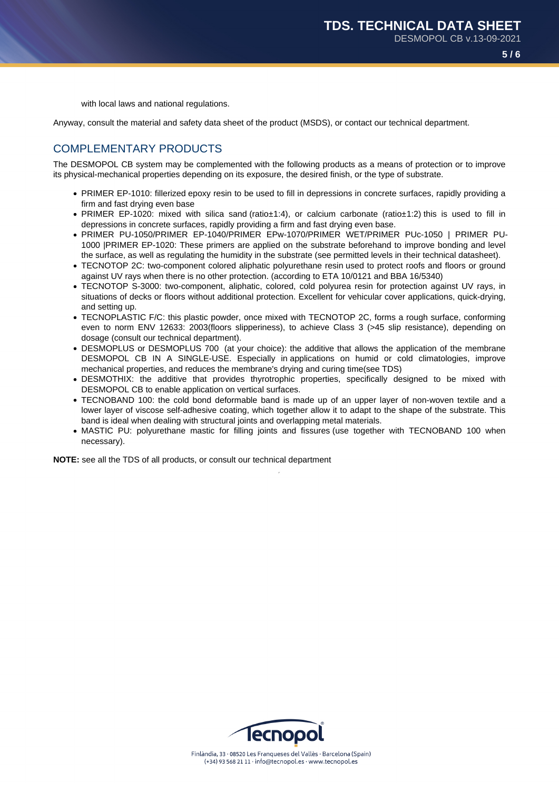with local laws and national regulations.

Anyway, consult the material and safety data sheet of the product (MSDS), or contact our technical department.

## COMPLEMENTARY PRODUCTS

The DESMOPOL CB system may be complemented with the following products as a means of protection or to improve its physical-mechanical properties depending on its exposure, the desired finish, or the type of substrate.

- PRIMER EP-1010: fillerized epoxy resin to be used to fill in depressions in concrete surfaces, rapidly providing a firm and fast drying even base
- PRIMER EP-1020: mixed with silica sand (ratio±1:4), or calcium carbonate (ratio±1:2) this is used to fill in depressions in concrete surfaces, rapidly providing a firm and fast drying even base.
- PRIMER PU-1050/PRIMER EP-1040/PRIMER EPw-1070/PRIMER WET/PRIMER PUc-1050 | PRIMER PU-1000 |PRIMER EP-1020: These primers are applied on the substrate beforehand to improve bonding and level the surface, as well as regulating the humidity in the substrate (see permitted levels in their technical datasheet).
- TECNOTOP 2C: two-component colored aliphatic polyurethane resin used to protect roofs and floors or ground against UV rays when there is no other protection. (according to ETA 10/0121 and BBA 16/5340)
- TECNOTOP S-3000: two-component, aliphatic, colored, cold polyurea resin for protection against UV rays, in situations of decks or floors without additional protection. Excellent for vehicular cover applications, quick-drying, and setting up.
- TECNOPLASTIC F/C: this plastic powder, once mixed with TECNOTOP 2C, forms a rough surface, conforming even to norm ENV 12633: 2003(floors slipperiness), to achieve Class 3 (>45 slip resistance), depending on dosage (consult our technical department).
- DESMOPLUS or DESMOPLUS 700 (at your choice): the additive that allows the application of the membrane DESMOPOL CB IN A SINGLE-USE. Especially in applications on humid or cold climatologies, improve mechanical properties, and reduces the membrane's drying and curing time(see TDS)
- DESMOTHIX: the additive that provides thyrotrophic properties, specifically designed to be mixed with DESMOPOL CB to enable application on vertical surfaces.
- TECNOBAND 100: the cold bond deformable band is made up of an upper layer of non-woven textile and a lower layer of viscose self-adhesive coating, which together allow it to adapt to the shape of the substrate. This band is ideal when dealing with structural joints and overlapping metal materials.
- MASTIC PU: polyurethane mastic for filling joints and fissures (use together with TECNOBAND 100 when necessary).

**NOTE:** see all the TDS of all products, or consult our technical department